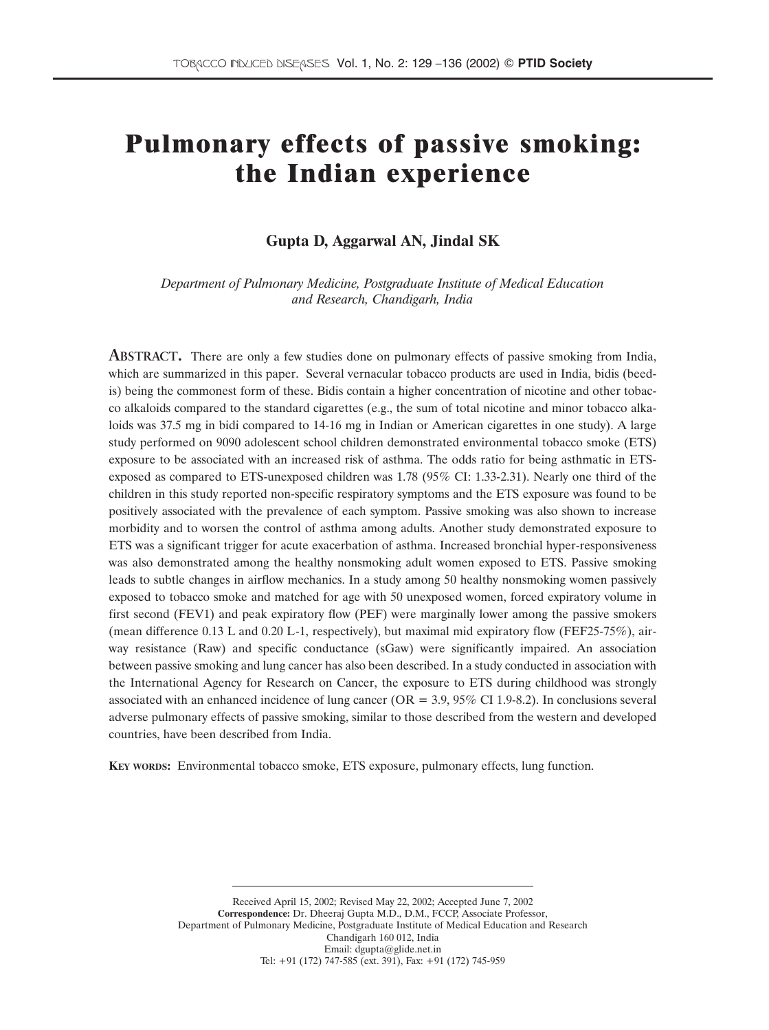# **Pulmonary effects of passive smoking: the Indian experience**

# **Gupta D, Aggarwal AN, Jindal SK**

*Department of Pulmonary Medicine, Postgraduate Institute of Medical Education and Research, Chandigarh, India*

ABSTRACT. There are only a few studies done on pulmonary effects of passive smoking from India, which are summarized in this paper. Several vernacular tobacco products are used in India, bidis (beedis) being the commonest form of these. Bidis contain a higher concentration of nicotine and other tobacco alkaloids compared to the standard cigarettes (e.g., the sum of total nicotine and minor tobacco alkaloids was 37.5 mg in bidi compared to 14-16 mg in Indian or American cigarettes in one study). A large study performed on 9090 adolescent school children demonstrated environmental tobacco smoke (ETS) exposure to be associated with an increased risk of asthma. The odds ratio for being asthmatic in ETSexposed as compared to ETS-unexposed children was 1.78 (95% CI: 1.33-2.31). Nearly one third of the children in this study reported non-specific respiratory symptoms and the ETS exposure was found to be positively associated with the prevalence of each symptom. Passive smoking was also shown to increase morbidity and to worsen the control of asthma among adults. Another study demonstrated exposure to ETS was a significant trigger for acute exacerbation of asthma. Increased bronchial hyper-responsiveness was also demonstrated among the healthy nonsmoking adult women exposed to ETS. Passive smoking leads to subtle changes in airflow mechanics. In a study among 50 healthy nonsmoking women passively exposed to tobacco smoke and matched for age with 50 unexposed women, forced expiratory volume in first second (FEV1) and peak expiratory flow (PEF) were marginally lower among the passive smokers (mean difference 0.13 L and 0.20 L-1, respectively), but maximal mid expiratory flow (FEF25-75%), airway resistance (Raw) and specific conductance (sGaw) were significantly impaired. An association between passive smoking and lung cancer has also been described. In a study conducted in association with the International Agency for Research on Cancer, the exposure to ETS during childhood was strongly associated with an enhanced incidence of lung cancer (OR = 3.9, 95% CI 1.9-8.2). In conclusions several adverse pulmonary effects of passive smoking, similar to those described from the western and developed countries, have been described from India.

**KEY WORDS:** Environmental tobacco smoke, ETS exposure, pulmonary effects, lung function.

Received April 15, 2002; Revised May 22, 2002; Accepted June 7, 2002 **Correspondence:** Dr. Dheeraj Gupta M.D., D.M., FCCP, Associate Professor, Department of Pulmonary Medicine, Postgraduate Institute of Medical Education and Research Chandigarh 160 012, India Email: dgupta@glide.net.in Tel: +91 (172) 747-585 (ext. 391), Fax: +91 (172) 745-959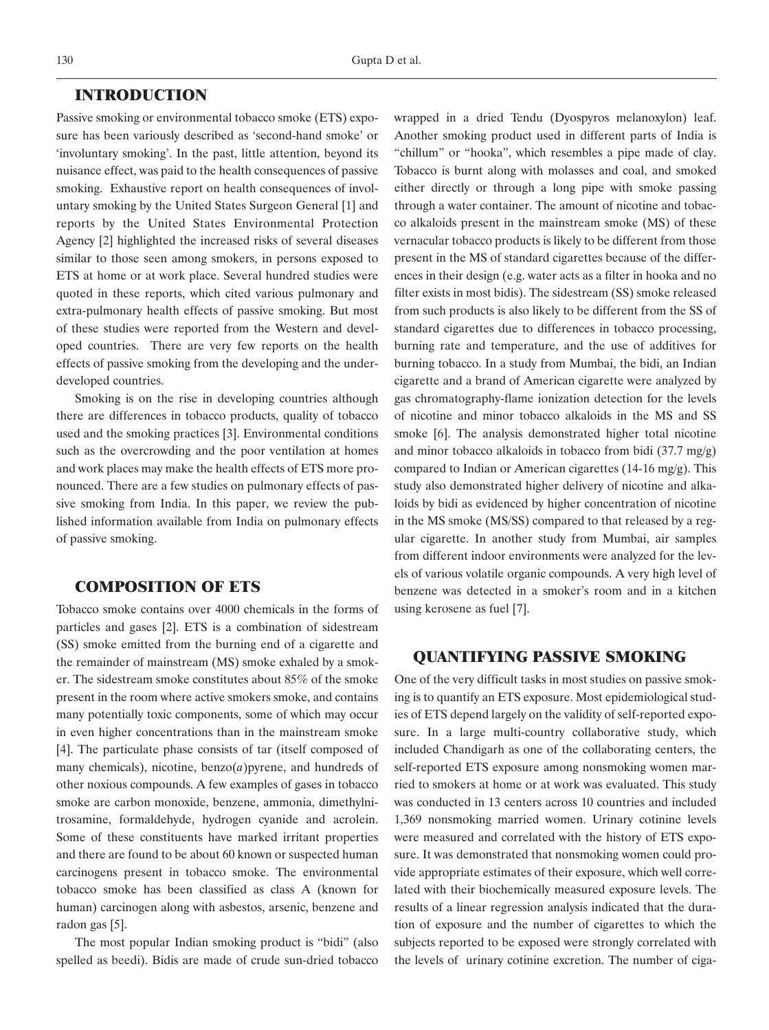#### **INTRODUCTION**

Passive smoking or environmental tobacco smoke (ETS) exposure has been variously described as 'second-hand smoke' or 'involuntary smoking'. In the past, little attention, beyond its nuisance effect, was paid to the health consequences of passive smoking. Exhaustive report on health consequences of involuntary smoking by the United States Surgeon General [1] and reports by the United States Environmental Protection Agency [2] highlighted the increased risks of several diseases similar to those seen among smokers, in persons exposed to ETS at home or at work place. Several hundred studies were quoted in these reports, which cited various pulmonary and extra-pulmonary health effects of passive smoking. But most of these studies were reported from the Western and developed countries. There are very few reports on the health effects of passive smoking from the developing and the underdeveloped countries.

Smoking is on the rise in developing countries although there are differences in tobacco products, quality of tobacco used and the smoking practices [3]. Environmental conditions such as the overcrowding and the poor ventilation at homes and work places may make the health effects of ETS more pronounced. There are a few studies on pulmonary effects of passive smoking from India. In this paper, we review the published information available from India on pulmonary effects of passive smoking.

# **COMPOSITION OF ETS**

Tobacco smoke contains over 4000 chemicals in the forms of particles and gases [2]. ETS is a combination of sidestream (SS) smoke emitted from the burning end of a cigarette and the remainder of mainstream (MS) smoke exhaled by a smoker. The sidestream smoke constitutes about 85% of the smoke present in the room where active smokers smoke, and contains many potentially toxic components, some of which may occur in even higher concentrations than in the mainstream smoke [4]. The particulate phase consists of tar (itself composed of many chemicals), nicotine, benzo(*a*)pyrene, and hundreds of other noxious compounds. A few examples of gases in tobacco smoke are carbon monoxide, benzene, ammonia, dimethylnitrosamine, formaldehyde, hydrogen cyanide and acrolein. Some of these constituents have marked irritant properties and there are found to be about 60 known or suspected human carcinogens present in tobacco smoke. The environmental tobacco smoke has been classified as class A (known for human) carcinogen along with asbestos, arsenic, benzene and radon gas [5].

The most popular Indian smoking product is "bidi" (also spelled as beedi). Bidis are made of crude sun-dried tobacco wrapped in a dried Tendu (Dyospyros melanoxylon) leaf. Another smoking product used in different parts of India is "chillum" or "hooka", which resembles a pipe made of clay. Tobacco is burnt along with molasses and coal, and smoked either directly or through a long pipe with smoke passing through a water container. The amount of nicotine and tobacco alkaloids present in the mainstream smoke (MS) of these vernacular tobacco products is likely to be different from those present in the MS of standard cigarettes because of the differences in their design (e.g. water acts as a filter in hooka and no filter exists in most bidis). The sidestream (SS) smoke released from such products is also likely to be different from the SS of standard cigarettes due to differences in tobacco processing, burning rate and temperature, and the use of additives for burning tobacco. In a study from Mumbai, the bidi, an Indian cigarette and a brand of American cigarette were analyzed by gas chromatography-flame ionization detection for the levels of nicotine and minor tobacco alkaloids in the MS and SS smoke [6]. The analysis demonstrated higher total nicotine and minor tobacco alkaloids in tobacco from bidi (37.7 mg/g) compared to Indian or American cigarettes (14-16 mg/g). This study also demonstrated higher delivery of nicotine and alkaloids by bidi as evidenced by higher concentration of nicotine in the MS smoke (MS/SS) compared to that released by a regular cigarette. In another study from Mumbai, air samples from different indoor environments were analyzed for the levels of various volatile organic compounds. A very high level of benzene was detected in a smoker's room and in a kitchen using kerosene as fuel [7].

#### **QUANTIFYING PASSIVE SMOKING**

One of the very difficult tasks in most studies on passive smoking is to quantify an ETS exposure. Most epidemiological studies of ETS depend largely on the validity of self-reported exposure. In a large multi-country collaborative study, which included Chandigarh as one of the collaborating centers, the self-reported ETS exposure among nonsmoking women married to smokers at home or at work was evaluated. This study was conducted in 13 centers across 10 countries and included 1,369 nonsmoking married women. Urinary cotinine levels were measured and correlated with the history of ETS exposure. It was demonstrated that nonsmoking women could provide appropriate estimates of their exposure, which well correlated with their biochemically measured exposure levels. The results of a linear regression analysis indicated that the duration of exposure and the number of cigarettes to which the subjects reported to be exposed were strongly correlated with the levels of urinary cotinine excretion. The number of ciga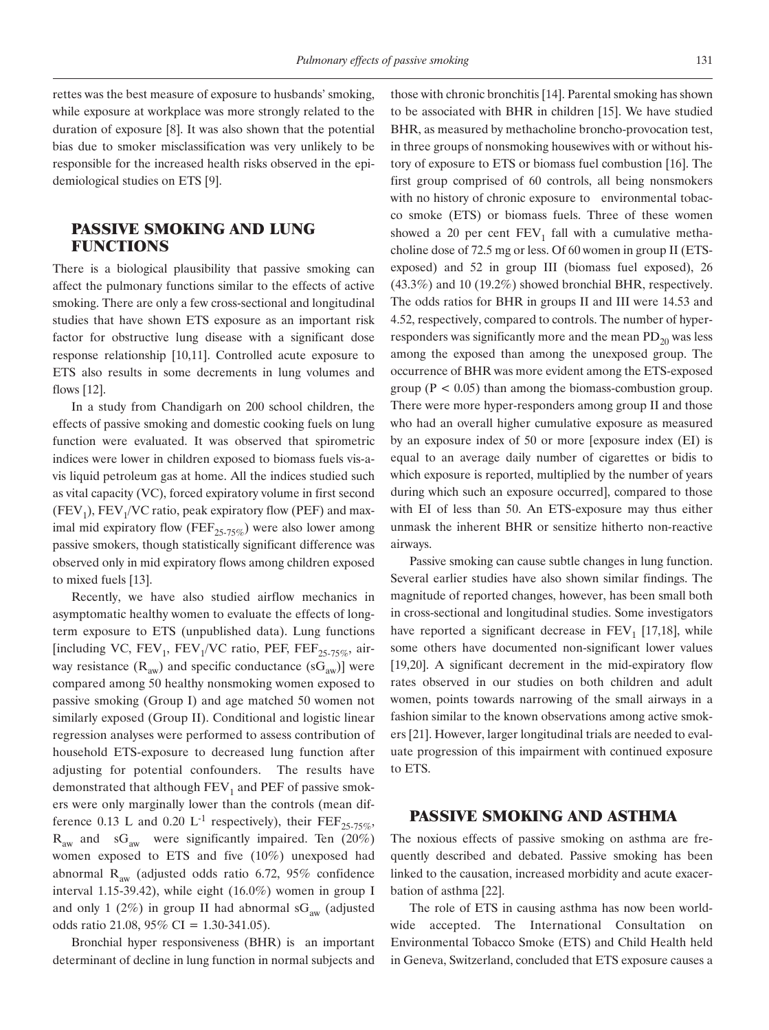rettes was the best measure of exposure to husbands' smoking, while exposure at workplace was more strongly related to the duration of exposure [8]. It was also shown that the potential bias due to smoker misclassification was very unlikely to be responsible for the increased health risks observed in the epidemiological studies on ETS [9].

# **PASSIVE SMOKING AND LUNG FUNCTIONS**

There is a biological plausibility that passive smoking can affect the pulmonary functions similar to the effects of active smoking. There are only a few cross-sectional and longitudinal studies that have shown ETS exposure as an important risk factor for obstructive lung disease with a significant dose response relationship [10,11]. Controlled acute exposure to ETS also results in some decrements in lung volumes and flows [12].

In a study from Chandigarh on 200 school children, the effects of passive smoking and domestic cooking fuels on lung function were evaluated. It was observed that spirometric indices were lower in children exposed to biomass fuels vis-avis liquid petroleum gas at home. All the indices studied such as vital capacity (VC), forced expiratory volume in first second  $(FEV<sub>1</sub>), FEV<sub>1</sub>/VC$  ratio, peak expiratory flow (PEF) and maximal mid expiratory flow (FEF<sub>25-75%</sub>) were also lower among passive smokers, though statistically significant difference was observed only in mid expiratory flows among children exposed to mixed fuels [13].

Recently, we have also studied airflow mechanics in asymptomatic healthy women to evaluate the effects of longterm exposure to ETS (unpublished data). Lung functions [including VC,  $FEV_1$ ,  $FEV_1/VC$  ratio, PEF,  $FEF_{25-75\%}$ , airway resistance  $(R_{aw})$  and specific conductance  $(SG_{aw})$ ] were compared among 50 healthy nonsmoking women exposed to passive smoking (Group I) and age matched 50 women not similarly exposed (Group II). Conditional and logistic linear regression analyses were performed to assess contribution of household ETS-exposure to decreased lung function after adjusting for potential confounders. The results have demonstrated that although  $FEV<sub>1</sub>$  and  $PEF$  of passive smokers were only marginally lower than the controls (mean difference 0.13 L and 0.20 L<sup>-1</sup> respectively), their FEF<sub>25-75%</sub>,  $R_{aw}$  and  $sG_{aw}$  were significantly impaired. Ten (20%) women exposed to ETS and five (10%) unexposed had abnormal  $R_{aw}$  (adjusted odds ratio 6.72, 95% confidence interval 1.15-39.42), while eight (16.0%) women in group I and only 1 (2%) in group II had abnormal  $sG_{aw}$  (adjusted odds ratio 21.08,  $95\%$  CI = 1.30-341.05).

Bronchial hyper responsiveness (BHR) is an important determinant of decline in lung function in normal subjects and

those with chronic bronchitis [14]. Parental smoking has shown to be associated with BHR in children [15]. We have studied BHR, as measured by methacholine broncho-provocation test, in three groups of nonsmoking housewives with or without history of exposure to ETS or biomass fuel combustion [16]. The first group comprised of 60 controls, all being nonsmokers with no history of chronic exposure to environmental tobacco smoke (ETS) or biomass fuels. Three of these women showed a 20 per cent  $FEV<sub>1</sub>$  fall with a cumulative methacholine dose of 72.5 mg or less. Of 60 women in group II (ETSexposed) and 52 in group III (biomass fuel exposed), 26 (43.3%) and 10 (19.2%) showed bronchial BHR, respectively. The odds ratios for BHR in groups II and III were 14.53 and 4.52, respectively, compared to controls. The number of hyperresponders was significantly more and the mean  $PD_{20}$  was less among the exposed than among the unexposed group. The occurrence of BHR was more evident among the ETS-exposed group ( $P < 0.05$ ) than among the biomass-combustion group. There were more hyper-responders among group II and those who had an overall higher cumulative exposure as measured by an exposure index of 50 or more [exposure index (EI) is equal to an average daily number of cigarettes or bidis to which exposure is reported, multiplied by the number of years during which such an exposure occurred], compared to those with EI of less than 50. An ETS-exposure may thus either unmask the inherent BHR or sensitize hitherto non-reactive airways.

Passive smoking can cause subtle changes in lung function. Several earlier studies have also shown similar findings. The magnitude of reported changes, however, has been small both in cross-sectional and longitudinal studies. Some investigators have reported a significant decrease in  $FEV<sub>1</sub>$  [17,18], while some others have documented non-significant lower values [19,20]. A significant decrement in the mid-expiratory flow rates observed in our studies on both children and adult women, points towards narrowing of the small airways in a fashion similar to the known observations among active smokers [21]. However, larger longitudinal trials are needed to evaluate progression of this impairment with continued exposure to ETS.

#### **PASSIVE SMOKING AND ASTHMA**

The noxious effects of passive smoking on asthma are frequently described and debated. Passive smoking has been linked to the causation, increased morbidity and acute exacerbation of asthma [22].

The role of ETS in causing asthma has now been worldwide accepted. The International Consultation on Environmental Tobacco Smoke (ETS) and Child Health held in Geneva, Switzerland, concluded that ETS exposure causes a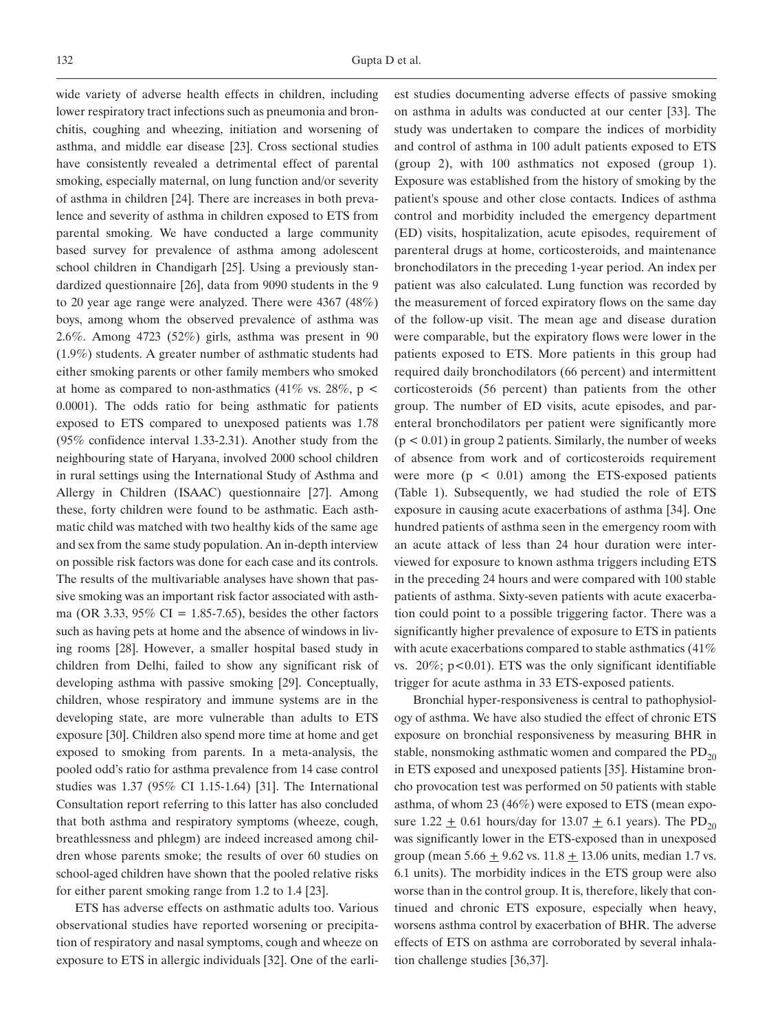wide variety of adverse health effects in children, including lower respiratory tract infections such as pneumonia and bronchitis, coughing and wheezing, initiation and worsening of asthma, and middle ear disease [23]. Cross sectional studies have consistently revealed a detrimental effect of parental smoking, especially maternal, on lung function and/or severity of asthma in children [24]. There are increases in both prevalence and severity of asthma in children exposed to ETS from parental smoking. We have conducted a large community based survey for prevalence of asthma among adolescent school children in Chandigarh [25]. Using a previously standardized questionnaire [26], data from 9090 students in the 9 to 20 year age range were analyzed. There were 4367 (48%) boys, among whom the observed prevalence of asthma was 2.6%. Among 4723 (52%) girls, asthma was present in 90 (1.9%) students. A greater number of asthmatic students had either smoking parents or other family members who smoked at home as compared to non-asthmatics (41% vs. 28%,  $p \lt$ 0.0001). The odds ratio for being asthmatic for patients exposed to ETS compared to unexposed patients was 1.78 (95% confidence interval 1.33-2.31). Another study from the neighbouring state of Haryana, involved 2000 school children in rural settings using the International Study of Asthma and Allergy in Children (ISAAC) questionnaire [27]. Among these, forty children were found to be asthmatic. Each asthmatic child was matched with two healthy kids of the same age and sex from the same study population. An in-depth interview on possible risk factors was done for each case and its controls. The results of the multivariable analyses have shown that passive smoking was an important risk factor associated with asthma (OR 3.33,  $95\%$  CI = 1.85-7.65), besides the other factors such as having pets at home and the absence of windows in living rooms [28]. However, a smaller hospital based study in children from Delhi, failed to show any significant risk of developing asthma with passive smoking [29]. Conceptually, children, whose respiratory and immune systems are in the developing state, are more vulnerable than adults to ETS exposure [30]. Children also spend more time at home and get exposed to smoking from parents. In a meta-analysis, the pooled odd's ratio for asthma prevalence from 14 case control studies was 1.37 (95% CI 1.15-1.64) [31]. The International Consultation report referring to this latter has also concluded that both asthma and respiratory symptoms (wheeze, cough, breathlessness and phlegm) are indeed increased among children whose parents smoke; the results of over 60 studies on school-aged children have shown that the pooled relative risks for either parent smoking range from 1.2 to 1.4 [23].

ETS has adverse effects on asthmatic adults too. Various observational studies have reported worsening or precipitation of respiratory and nasal symptoms, cough and wheeze on exposure to ETS in allergic individuals [32]. One of the earliest studies documenting adverse effects of passive smoking on asthma in adults was conducted at our center [33]. The study was undertaken to compare the indices of morbidity and control of asthma in 100 adult patients exposed to ETS (group 2), with 100 asthmatics not exposed (group 1). Exposure was established from the history of smoking by the patient's spouse and other close contacts. Indices of asthma control and morbidity included the emergency department (ED) visits, hospitalization, acute episodes, requirement of parenteral drugs at home, corticosteroids, and maintenance bronchodilators in the preceding 1-year period. An index per patient was also calculated. Lung function was recorded by the measurement of forced expiratory flows on the same day of the follow-up visit. The mean age and disease duration were comparable, but the expiratory flows were lower in the patients exposed to ETS. More patients in this group had required daily bronchodilators (66 percent) and intermittent corticosteroids (56 percent) than patients from the other group. The number of ED visits, acute episodes, and parenteral bronchodilators per patient were significantly more  $(p < 0.01)$  in group 2 patients. Similarly, the number of weeks of absence from work and of corticosteroids requirement were more  $(p < 0.01)$  among the ETS-exposed patients (Table 1). Subsequently, we had studied the role of ETS exposure in causing acute exacerbations of asthma [34]. One hundred patients of asthma seen in the emergency room with an acute attack of less than 24 hour duration were interviewed for exposure to known asthma triggers including ETS in the preceding 24 hours and were compared with 100 stable patients of asthma. Sixty-seven patients with acute exacerbation could point to a possible triggering factor. There was a significantly higher prevalence of exposure to ETS in patients with acute exacerbations compared to stable asthmatics (41% vs.  $20\%$ ; p<0.01). ETS was the only significant identifiable trigger for acute asthma in 33 ETS-exposed patients.

Bronchial hyper-responsiveness is central to pathophysiology of asthma. We have also studied the effect of chronic ETS exposure on bronchial responsiveness by measuring BHR in stable, nonsmoking asthmatic women and compared the  $PD_{20}$ in ETS exposed and unexposed patients [35]. Histamine broncho provocation test was performed on 50 patients with stable asthma, of whom 23 (46%) were exposed to ETS (mean exposure 1.22  $\pm$  0.61 hours/day for 13.07  $\pm$  6.1 years). The PD<sub>20</sub> was significantly lower in the ETS-exposed than in unexposed group (mean  $5.66 \pm 9.62$  vs.  $11.8 \pm 13.06$  units, median 1.7 vs. 6.1 units). The morbidity indices in the ETS group were also worse than in the control group. It is, therefore, likely that continued and chronic ETS exposure, especially when heavy, worsens asthma control by exacerbation of BHR. The adverse effects of ETS on asthma are corroborated by several inhalation challenge studies [36,37].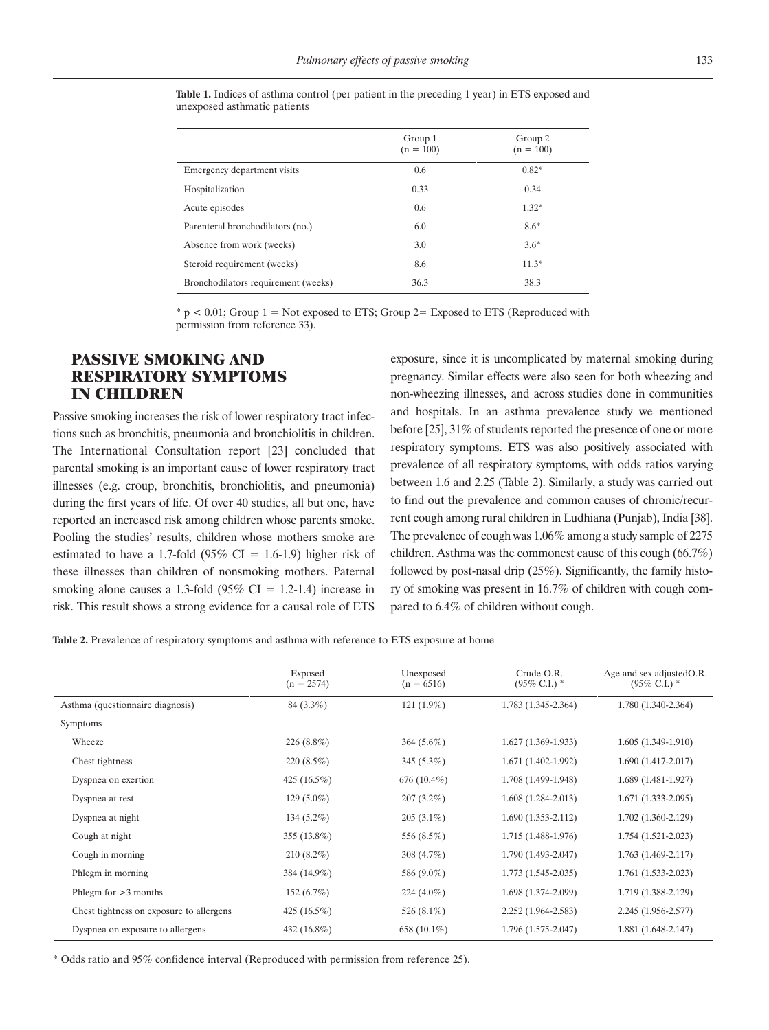| Group 1<br>$(n = 100)$ | Group 2<br>$(n = 100)$ |
|------------------------|------------------------|
| 0.6                    | $0.82*$                |
| 0.33                   | 0.34                   |
| 0.6                    | $1.32*$                |
| 6.0                    | $8.6*$                 |
| 3.0                    | $3.6*$                 |
| 8.6                    | $11.3*$                |
| 36.3                   | 38.3                   |
|                        |                        |

**Table 1.** Indices of asthma control (per patient in the preceding 1 year) in ETS exposed and unexposed asthmatic patients

 $*$  p < 0.01; Group 1 = Not exposed to ETS; Group 2= Exposed to ETS (Reproduced with permission from reference 33).

# **PASSIVE SMOKING AND RESPIRATORY SYMPTOMS IN CHILDREN**

Passive smoking increases the risk of lower respiratory tract infections such as bronchitis, pneumonia and bronchiolitis in children. The International Consultation report [23] concluded that parental smoking is an important cause of lower respiratory tract illnesses (e.g. croup, bronchitis, bronchiolitis, and pneumonia) during the first years of life. Of over 40 studies, all but one, have reported an increased risk among children whose parents smoke. Pooling the studies' results, children whose mothers smoke are estimated to have a 1.7-fold (95% CI = 1.6-1.9) higher risk of these illnesses than children of nonsmoking mothers. Paternal smoking alone causes a 1.3-fold (95%  $CI = 1.2{\text -}1.4$ ) increase in risk. This result shows a strong evidence for a causal role of ETS exposure, since it is uncomplicated by maternal smoking during pregnancy. Similar effects were also seen for both wheezing and non-wheezing illnesses, and across studies done in communities and hospitals. In an asthma prevalence study we mentioned before [25], 31% of students reported the presence of one or more respiratory symptoms. ETS was also positively associated with prevalence of all respiratory symptoms, with odds ratios varying between 1.6 and 2.25 (Table 2). Similarly, a study was carried out to find out the prevalence and common causes of chronic/recurrent cough among rural children in Ludhiana (Punjab), India [38]. The prevalence of cough was 1.06% among a study sample of 2275 children. Asthma was the commonest cause of this cough (66.7%) followed by post-nasal drip (25%). Significantly, the family history of smoking was present in 16.7% of children with cough compared to 6.4% of children without cough.

Table 2. Prevalence of respiratory symptoms and asthma with reference to ETS exposure at home

|                                          | Exposed<br>$(n = 2574)$ | Unexposed<br>$(n = 6516)$ | Crude O.R.<br>$(95\% \text{ C.I.})$ * | Age and sex adjusted O.R.<br>$(95\% \text{ C.I.})$ * |
|------------------------------------------|-------------------------|---------------------------|---------------------------------------|------------------------------------------------------|
| Asthma (questionnaire diagnosis)         | 84 (3.3%)               | $121(1.9\%)$              | 1.783 (1.345-2.364)                   | 1.780 (1.340-2.364)                                  |
| Symptoms                                 |                         |                           |                                       |                                                      |
| Wheeze                                   | 226 (8.8%)              | 364 $(5.6\%)$             | $1.627(1.369-1.933)$                  | $1.605(1.349-1.910)$                                 |
| Chest tightness                          | $220(8.5\%)$            | 345 $(5.3\%)$             | 1.671 (1.402-1.992)                   | $1.690(1.417-2.017)$                                 |
| Dyspnea on exertion                      | 425 $(16.5\%)$          | 676 $(10.4\%)$            | 1.708 (1.499-1.948)                   | $1.689(1.481-1.927)$                                 |
| Dyspnea at rest                          | $129(5.0\%)$            | $207(3.2\%)$              | $1.608(1.284-2.013)$                  | $1.671(1.333 - 2.095)$                               |
| Dyspnea at night                         | $134(5.2\%)$            | $205(3.1\%)$              | $1.690(1.353 - 2.112)$                | 1.702 (1.360-2.129)                                  |
| Cough at night                           | 355 $(13.8\%)$          | 556 (8.5%)                | 1.715 (1.488-1.976)                   | 1.754 (1.521-2.023)                                  |
| Cough in morning                         | $210(8.2\%)$            | 308 $(4.7%)$              | 1.790 (1.493-2.047)                   | $1.763(1.469-2.117)$                                 |
| Phlegm in morning                        | 384 (14.9%)             | 586 (9.0%)                | 1.773 (1.545-2.035)                   | $1.761(1.533 - 2.023)$                               |
| Phlegm for $>3$ months                   | 152(6.7%)               | 224 $(4.0\%)$             | 1.698 (1.374-2.099)                   | 1.719 (1.388-2.129)                                  |
| Chest tightness on exposure to allergens | 425 $(16.5\%)$          | 526 $(8.1\%)$             | 2.252 (1.964-2.583)                   | 2.245 (1.956-2.577)                                  |
| Dyspnea on exposure to allergens         | 432 $(16.8\%)$          | 658 (10.1%)               | 1.796 (1.575-2.047)                   | 1.881 (1.648-2.147)                                  |

\* Odds ratio and 95% confidence interval (Reproduced with permission from reference 25).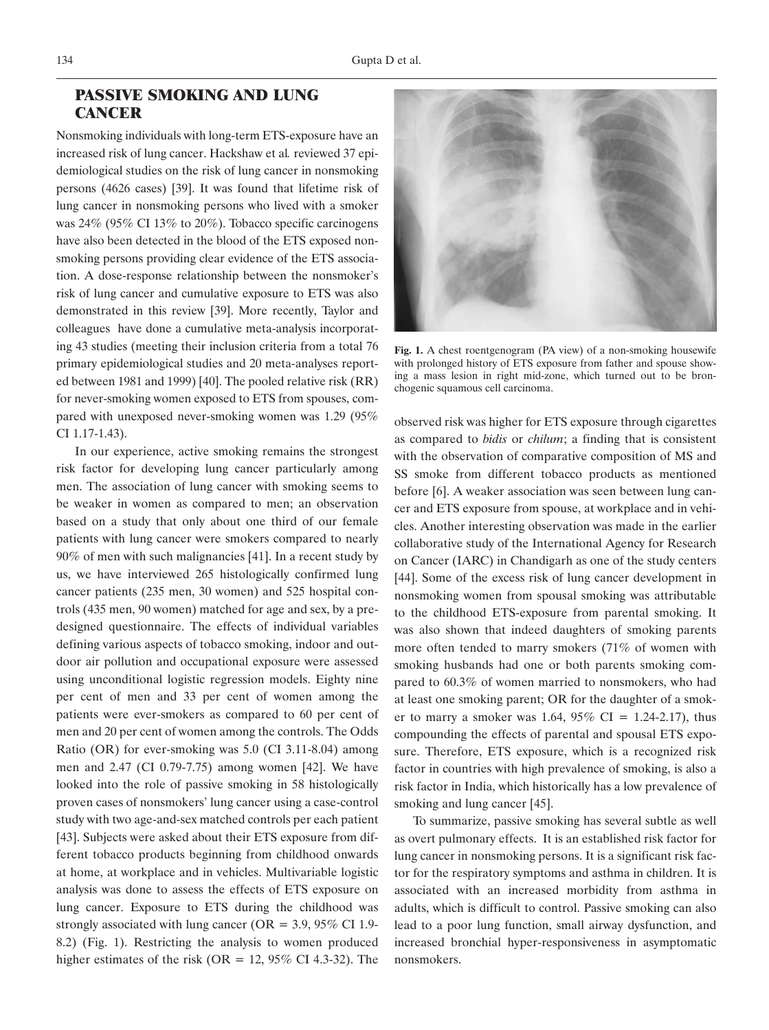#### **PASSIVE SMOKING AND LUNG CANCER**

Nonsmoking individuals with long-term ETS-exposure have an increased risk of lung cancer. Hackshaw et al*.* reviewed 37 epidemiological studies on the risk of lung cancer in nonsmoking persons (4626 cases) [39]. It was found that lifetime risk of lung cancer in nonsmoking persons who lived with a smoker was 24% (95% CI 13% to 20%). Tobacco specific carcinogens have also been detected in the blood of the ETS exposed nonsmoking persons providing clear evidence of the ETS association. A dose-response relationship between the nonsmoker's risk of lung cancer and cumulative exposure to ETS was also demonstrated in this review [39]. More recently, Taylor and colleagues have done a cumulative meta-analysis incorporating 43 studies (meeting their inclusion criteria from a total 76 primary epidemiological studies and 20 meta-analyses reported between 1981 and 1999) [40]. The pooled relative risk (RR) for never-smoking women exposed to ETS from spouses, compared with unexposed never-smoking women was 1.29 (95% CI 1.17-1.43).

In our experience, active smoking remains the strongest risk factor for developing lung cancer particularly among men. The association of lung cancer with smoking seems to be weaker in women as compared to men; an observation based on a study that only about one third of our female patients with lung cancer were smokers compared to nearly 90% of men with such malignancies [41]. In a recent study by us, we have interviewed 265 histologically confirmed lung cancer patients (235 men, 30 women) and 525 hospital controls (435 men, 90 women) matched for age and sex, by a predesigned questionnaire. The effects of individual variables defining various aspects of tobacco smoking, indoor and outdoor air pollution and occupational exposure were assessed using unconditional logistic regression models. Eighty nine per cent of men and 33 per cent of women among the patients were ever-smokers as compared to 60 per cent of men and 20 per cent of women among the controls. The Odds Ratio (OR) for ever-smoking was 5.0 (CI 3.11-8.04) among men and 2.47 (CI 0.79-7.75) among women [42]. We have looked into the role of passive smoking in 58 histologically proven cases of nonsmokers' lung cancer using a case-control study with two age-and-sex matched controls per each patient [43]. Subjects were asked about their ETS exposure from different tobacco products beginning from childhood onwards at home, at workplace and in vehicles. Multivariable logistic analysis was done to assess the effects of ETS exposure on lung cancer. Exposure to ETS during the childhood was strongly associated with lung cancer ( $OR = 3.9$ ,  $95\%$  CI 1.9-8.2) (Fig. 1). Restricting the analysis to women produced higher estimates of the risk (OR =  $12,95\%$  CI 4.3-32). The



**Fig. 1.** A chest roentgenogram (PA view) of a non-smoking housewife with prolonged history of ETS exposure from father and spouse showing a mass lesion in right mid-zone, which turned out to be bronchogenic squamous cell carcinoma.

observed risk was higher for ETS exposure through cigarettes as compared to *bidis* or *chilum*; a finding that is consistent with the observation of comparative composition of MS and SS smoke from different tobacco products as mentioned before [6]. A weaker association was seen between lung cancer and ETS exposure from spouse, at workplace and in vehicles. Another interesting observation was made in the earlier collaborative study of the International Agency for Research on Cancer (IARC) in Chandigarh as one of the study centers [44]. Some of the excess risk of lung cancer development in nonsmoking women from spousal smoking was attributable to the childhood ETS-exposure from parental smoking. It was also shown that indeed daughters of smoking parents more often tended to marry smokers (71% of women with smoking husbands had one or both parents smoking compared to 60.3% of women married to nonsmokers, who had at least one smoking parent; OR for the daughter of a smoker to marry a smoker was 1.64, 95% CI = 1.24-2.17), thus compounding the effects of parental and spousal ETS exposure. Therefore, ETS exposure, which is a recognized risk factor in countries with high prevalence of smoking, is also a risk factor in India, which historically has a low prevalence of smoking and lung cancer [45].

To summarize, passive smoking has several subtle as well as overt pulmonary effects. It is an established risk factor for lung cancer in nonsmoking persons. It is a significant risk factor for the respiratory symptoms and asthma in children. It is associated with an increased morbidity from asthma in adults, which is difficult to control. Passive smoking can also lead to a poor lung function, small airway dysfunction, and increased bronchial hyper-responsiveness in asymptomatic nonsmokers.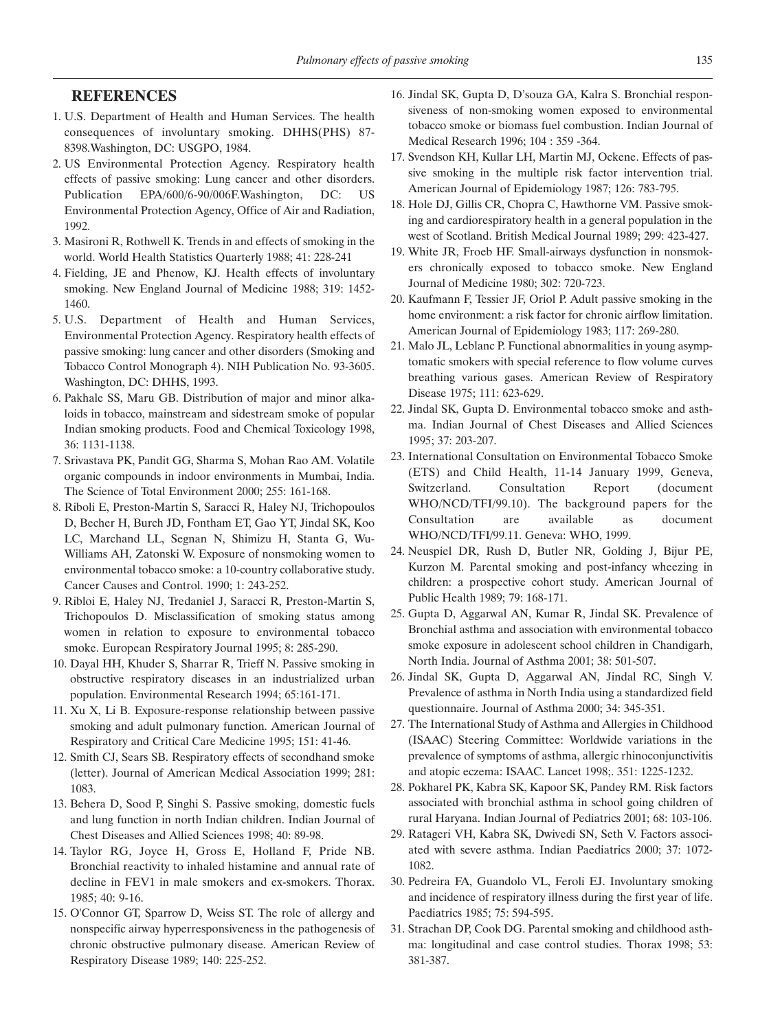# **REFERENCES**

- 1. U.S. Department of Health and Human Services. The health consequences of involuntary smoking. DHHS(PHS) 87- 8398.Washington, DC: USGPO, 1984.
- 2. US Environmental Protection Agency. Respiratory health effects of passive smoking: Lung cancer and other disorders. Publication EPA/600/6-90/006F.Washington, DC: US Environmental Protection Agency, Office of Air and Radiation, 1992.
- 3. Masironi R, Rothwell K. Trends in and effects of smoking in the world. World Health Statistics Quarterly 1988; 41: 228-241
- 4. Fielding, JE and Phenow, KJ. Health effects of involuntary smoking. New England Journal of Medicine 1988; 319: 1452- 1460.
- 5. U.S. Department of Health and Human Services, Environmental Protection Agency. Respiratory health effects of passive smoking: lung cancer and other disorders (Smoking and Tobacco Control Monograph 4). NIH Publication No. 93-3605. Washington, DC: DHHS, 1993.
- 6. Pakhale SS, Maru GB. Distribution of major and minor alkaloids in tobacco, mainstream and sidestream smoke of popular Indian smoking products. Food and Chemical Toxicology 1998, 36: 1131-1138.
- 7. Srivastava PK, Pandit GG, Sharma S, Mohan Rao AM. Volatile organic compounds in indoor environments in Mumbai, India. The Science of Total Environment 2000; 255: 161-168.
- 8. Riboli E, Preston-Martin S, Saracci R, Haley NJ, Trichopoulos D, Becher H, Burch JD, Fontham ET, Gao YT, Jindal SK, Koo LC, Marchand LL, Segnan N, Shimizu H, Stanta G, Wu-Williams AH, Zatonski W. Exposure of nonsmoking women to environmental tobacco smoke: a 10-country collaborative study. Cancer Causes and Control. 1990; 1: 243-252.
- 9. Ribloi E, Haley NJ, Tredaniel J, Saracci R, Preston-Martin S, Trichopoulos D. Misclassification of smoking status among women in relation to exposure to environmental tobacco smoke. European Respiratory Journal 1995; 8: 285-290.
- 10. Dayal HH, Khuder S, Sharrar R, Trieff N. Passive smoking in obstructive respiratory diseases in an industrialized urban population. Environmental Research 1994; 65:161-171.
- 11. Xu X, Li B. Exposure-response relationship between passive smoking and adult pulmonary function. American Journal of Respiratory and Critical Care Medicine 1995; 151: 41-46.
- 12. Smith CJ, Sears SB. Respiratory effects of secondhand smoke (letter). Journal of American Medical Association 1999; 281: 1083.
- 13. Behera D, Sood P, Singhi S. Passive smoking, domestic fuels and lung function in north Indian children. Indian Journal of Chest Diseases and Allied Sciences 1998; 40: 89-98.
- 14. Taylor RG, Joyce H, Gross E, Holland F, Pride NB. Bronchial reactivity to inhaled histamine and annual rate of decline in FEV1 in male smokers and ex-smokers. Thorax. 1985; 40: 9-16.
- 15. O'Connor GT, Sparrow D, Weiss ST. The role of allergy and nonspecific airway hyperresponsiveness in the pathogenesis of chronic obstructive pulmonary disease. American Review of Respiratory Disease 1989; 140: 225-252.
- 16. Jindal SK, Gupta D, D'souza GA, Kalra S. Bronchial responsiveness of non-smoking women exposed to environmental tobacco smoke or biomass fuel combustion. Indian Journal of Medical Research 1996; 104 : 359 -364.
- 17. Svendson KH, Kullar LH, Martin MJ, Ockene. Effects of passive smoking in the multiple risk factor intervention trial. American Journal of Epidemiology 1987; 126: 783-795.
- 18. Hole DJ, Gillis CR, Chopra C, Hawthorne VM. Passive smoking and cardiorespiratory health in a general population in the west of Scotland. British Medical Journal 1989; 299: 423-427.
- 19. White JR, Froeb HF. Small-airways dysfunction in nonsmokers chronically exposed to tobacco smoke. New England Journal of Medicine 1980; 302: 720-723.
- 20. Kaufmann F, Tessier JF, Oriol P. Adult passive smoking in the home environment: a risk factor for chronic airflow limitation. American Journal of Epidemiology 1983; 117: 269-280.
- 21. Malo JL, Leblanc P. Functional abnormalities in young asymptomatic smokers with special reference to flow volume curves breathing various gases. American Review of Respiratory Disease 1975; 111: 623-629.
- 22. Jindal SK, Gupta D. Environmental tobacco smoke and asthma. Indian Journal of Chest Diseases and Allied Sciences 1995; 37: 203-207.
- 23. International Consultation on Environmental Tobacco Smoke (ETS) and Child Health, 11-14 January 1999, Geneva, Switzerland. Consultation Report (document WHO/NCD/TFI/99.10). The background papers for the Consultation are available as document WHO/NCD/TFI/99.11. Geneva: WHO, 1999.
- 24. Neuspiel DR, Rush D, Butler NR, Golding J, Bijur PE, Kurzon M. Parental smoking and post-infancy wheezing in children: a prospective cohort study. American Journal of Public Health 1989; 79: 168-171.
- 25. Gupta D, Aggarwal AN, Kumar R, Jindal SK. Prevalence of Bronchial asthma and association with environmental tobacco smoke exposure in adolescent school children in Chandigarh, North India. Journal of Asthma 2001; 38: 501-507.
- 26. Jindal SK, Gupta D, Aggarwal AN, Jindal RC, Singh V. Prevalence of asthma in North India using a standardized field questionnaire. Journal of Asthma 2000; 34: 345-351.
- 27. The International Study of Asthma and Allergies in Childhood (ISAAC) Steering Committee: Worldwide variations in the prevalence of symptoms of asthma, allergic rhinoconjunctivitis and atopic eczema: ISAAC. Lancet 1998;. 351: 1225-1232.
- 28. Pokharel PK, Kabra SK, Kapoor SK, Pandey RM. Risk factors associated with bronchial asthma in school going children of rural Haryana. Indian Journal of Pediatrics 2001; 68: 103-106.
- 29. Ratageri VH, Kabra SK, Dwivedi SN, Seth V. Factors associated with severe asthma. Indian Paediatrics 2000; 37: 1072- 1082.
- 30. Pedreira FA, Guandolo VL, Feroli EJ. Involuntary smoking and incidence of respiratory illness during the first year of life. Paediatrics 1985; 75: 594-595.
- 31. Strachan DP, Cook DG. Parental smoking and childhood asthma: longitudinal and case control studies. Thorax 1998; 53: 381-387.